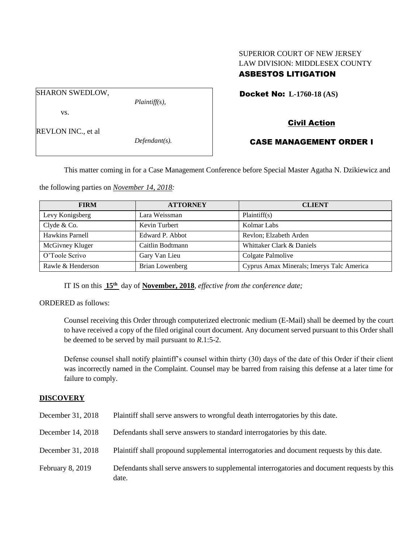# SUPERIOR COURT OF NEW JERSEY LAW DIVISION: MIDDLESEX COUNTY ASBESTOS LITIGATION

Docket No: **L-1760-18 (AS)** 

SHARON SWEDLOW,

*Plaintiff(s),*

vs.

REVLON INC., et al

*Defendant(s).*

# Civil Action

# CASE MANAGEMENT ORDER I

This matter coming in for a Case Management Conference before Special Master Agatha N. Dzikiewicz and

the following parties on *November 14, 2018:*

| <b>FIRM</b>       | <b>ATTORNEY</b>        | <b>CLIENT</b>                             |
|-------------------|------------------------|-------------------------------------------|
| Levy Konigsberg   | Lara Weissman          | Plaintiff(s)                              |
| Clyde & Co.       | Kevin Turbert          | Kolmar Labs                               |
| Hawkins Parnell   | Edward P. Abbot        | Revlon; Elzabeth Arden                    |
| McGivney Kluger   | Caitlin Bodtmann       | Whittaker Clark & Daniels                 |
| O'Toole Scrivo    | Gary Van Lieu          | Colgate Palmolive                         |
| Rawle & Henderson | <b>Brian Lowenberg</b> | Cyprus Amax Minerals; Imerys Talc America |

IT IS on this **15th** day of **November, 2018**, *effective from the conference date;*

ORDERED as follows:

Counsel receiving this Order through computerized electronic medium (E-Mail) shall be deemed by the court to have received a copy of the filed original court document. Any document served pursuant to this Order shall be deemed to be served by mail pursuant to *R*.1:5-2.

Defense counsel shall notify plaintiff's counsel within thirty (30) days of the date of this Order if their client was incorrectly named in the Complaint. Counsel may be barred from raising this defense at a later time for failure to comply.

# **DISCOVERY**

| December 31, 2018 | Plaintiff shall serve answers to wrongful death interrogatories by this date.                         |
|-------------------|-------------------------------------------------------------------------------------------------------|
| December 14, 2018 | Defendants shall serve answers to standard interrogatories by this date.                              |
| December 31, 2018 | Plaintiff shall propound supplemental interrogatories and document requests by this date.             |
| February 8, 2019  | Defendants shall serve answers to supplemental interrogatories and document requests by this<br>date. |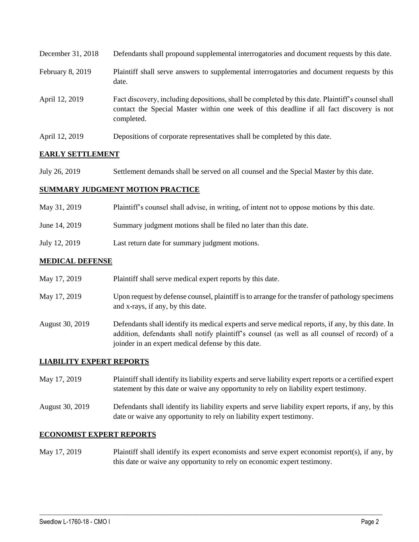| December 31, 2018 | Defendants shall propound supplemental interrogatories and document requests by this date.                                                                                                                  |
|-------------------|-------------------------------------------------------------------------------------------------------------------------------------------------------------------------------------------------------------|
| February 8, 2019  | Plaintiff shall serve answers to supplemental interrogatories and document requests by this<br>date.                                                                                                        |
| April 12, 2019    | Fact discovery, including depositions, shall be completed by this date. Plaintiff's counsel shall<br>contact the Special Master within one week of this deadline if all fact discovery is not<br>completed. |
| April 12, 2019    | Depositions of corporate representatives shall be completed by this date.                                                                                                                                   |

# **EARLY SETTLEMENT**

July 26, 2019 Settlement demands shall be served on all counsel and the Special Master by this date.

#### **SUMMARY JUDGMENT MOTION PRACTICE**

| May 31, 2019  | Plaintiff's counsel shall advise, in writing, of intent not to oppose motions by this date. |
|---------------|---------------------------------------------------------------------------------------------|
| June 14, 2019 | Summary judgment motions shall be filed no later than this date.                            |
| July 12, 2019 | Last return date for summary judgment motions.                                              |

#### **MEDICAL DEFENSE**

- May 17, 2019 Plaintiff shall serve medical expert reports by this date.
- May 17, 2019 Upon request by defense counsel, plaintiff is to arrange for the transfer of pathology specimens and x-rays, if any, by this date.
- August 30, 2019 Defendants shall identify its medical experts and serve medical reports, if any, by this date. In addition, defendants shall notify plaintiff's counsel (as well as all counsel of record) of a joinder in an expert medical defense by this date.

# **LIABILITY EXPERT REPORTS**

- May 17, 2019 Plaintiff shall identify its liability experts and serve liability expert reports or a certified expert statement by this date or waive any opportunity to rely on liability expert testimony.
- August 30, 2019 Defendants shall identify its liability experts and serve liability expert reports, if any, by this date or waive any opportunity to rely on liability expert testimony.

# **ECONOMIST EXPERT REPORTS**

May 17, 2019 Plaintiff shall identify its expert economists and serve expert economist report(s), if any, by this date or waive any opportunity to rely on economic expert testimony.

 $\_$  ,  $\_$  ,  $\_$  ,  $\_$  ,  $\_$  ,  $\_$  ,  $\_$  ,  $\_$  ,  $\_$  ,  $\_$  ,  $\_$  ,  $\_$  ,  $\_$  ,  $\_$  ,  $\_$  ,  $\_$  ,  $\_$  ,  $\_$  ,  $\_$  ,  $\_$  ,  $\_$  ,  $\_$  ,  $\_$  ,  $\_$  ,  $\_$  ,  $\_$  ,  $\_$  ,  $\_$  ,  $\_$  ,  $\_$  ,  $\_$  ,  $\_$  ,  $\_$  ,  $\_$  ,  $\_$  ,  $\_$  ,  $\_$  ,